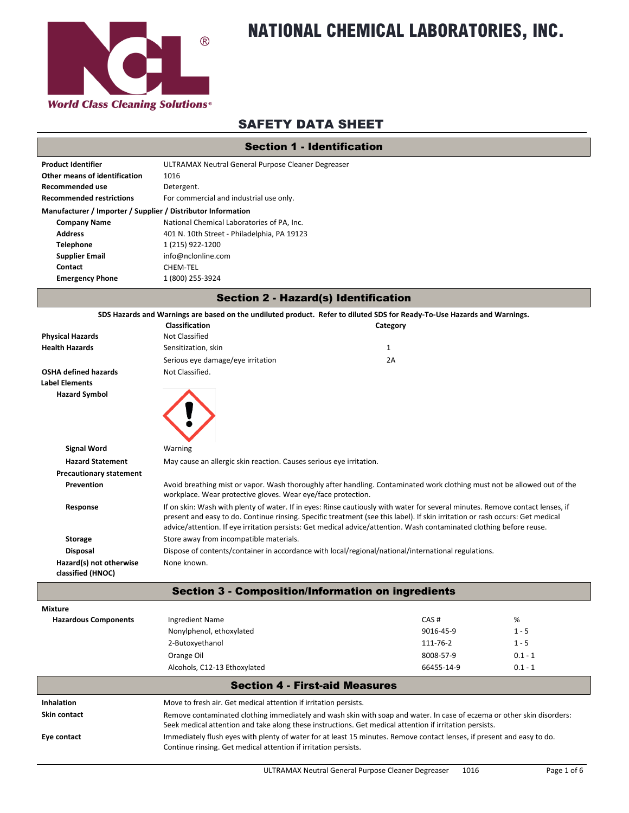

# **NATIONAL CHEMICAL LABORATORIES, INC.**

### SAFETY DATA SHEET

|  | <b>Section 1 - Identification</b> |
|--|-----------------------------------|
|--|-----------------------------------|

| <b>Product Identifier</b>                                    | ULTRAMAX Neutral General Purpose Cleaner Degreaser |
|--------------------------------------------------------------|----------------------------------------------------|
| <b>Other means of identification</b>                         | 1016                                               |
| <b>Recommended use</b>                                       | Detergent.                                         |
| <b>Recommended restrictions</b>                              | For commercial and industrial use only.            |
| Manufacturer / Importer / Supplier / Distributor Information |                                                    |
| <b>Company Name</b>                                          | National Chemical Laboratories of PA, Inc.         |
| <b>Address</b>                                               | 401 N. 10th Street - Philadelphia, PA 19123        |
| Telephone                                                    | 1 (215) 922-1200                                   |
| <b>Supplier Email</b>                                        | info@nclonline.com                                 |
| Contact                                                      | CHEM-TEL                                           |
| <b>Emergency Phone</b>                                       | 1 (800) 255-3924                                   |
|                                                              |                                                    |

|                                              |                                                                     | <b>Section 2 - Hazard(s) Identification</b>                                                                                                                                                                                                                                                                                                                                            |           |
|----------------------------------------------|---------------------------------------------------------------------|----------------------------------------------------------------------------------------------------------------------------------------------------------------------------------------------------------------------------------------------------------------------------------------------------------------------------------------------------------------------------------------|-----------|
|                                              |                                                                     | SDS Hazards and Warnings are based on the undiluted product. Refer to diluted SDS for Ready-To-Use Hazards and Warnings.                                                                                                                                                                                                                                                               |           |
|                                              | Classification                                                      | Category                                                                                                                                                                                                                                                                                                                                                                               |           |
| <b>Physical Hazards</b>                      | Not Classified                                                      |                                                                                                                                                                                                                                                                                                                                                                                        |           |
| <b>Health Hazards</b>                        | Sensitization, skin                                                 | $\mathbf{1}$                                                                                                                                                                                                                                                                                                                                                                           |           |
|                                              | Serious eye damage/eye irritation                                   | 2A                                                                                                                                                                                                                                                                                                                                                                                     |           |
| <b>OSHA defined hazards</b>                  | Not Classified.                                                     |                                                                                                                                                                                                                                                                                                                                                                                        |           |
| <b>Label Elements</b>                        |                                                                     |                                                                                                                                                                                                                                                                                                                                                                                        |           |
| <b>Hazard Symbol</b>                         |                                                                     |                                                                                                                                                                                                                                                                                                                                                                                        |           |
| <b>Signal Word</b>                           | Warning                                                             |                                                                                                                                                                                                                                                                                                                                                                                        |           |
| <b>Hazard Statement</b>                      | May cause an allergic skin reaction. Causes serious eye irritation. |                                                                                                                                                                                                                                                                                                                                                                                        |           |
| <b>Precautionary statement</b>               |                                                                     |                                                                                                                                                                                                                                                                                                                                                                                        |           |
| Prevention                                   | workplace. Wear protective gloves. Wear eye/face protection.        | Avoid breathing mist or vapor. Wash thoroughly after handling. Contaminated work clothing must not be allowed out of the                                                                                                                                                                                                                                                               |           |
| Response                                     |                                                                     | If on skin: Wash with plenty of water. If in eyes: Rinse cautiously with water for several minutes. Remove contact lenses, if<br>present and easy to do. Continue rinsing. Specific treatment (see this label). If skin irritation or rash occurs: Get medical<br>advice/attention. If eye irritation persists: Get medical advice/attention. Wash contaminated clothing before reuse. |           |
| <b>Storage</b>                               | Store away from incompatible materials.                             |                                                                                                                                                                                                                                                                                                                                                                                        |           |
| <b>Disposal</b>                              |                                                                     | Dispose of contents/container in accordance with local/regional/national/international regulations.                                                                                                                                                                                                                                                                                    |           |
| Hazard(s) not otherwise<br>classified (HNOC) | None known.                                                         |                                                                                                                                                                                                                                                                                                                                                                                        |           |
|                                              |                                                                     | <b>Section 3 - Composition/Information on ingredients</b>                                                                                                                                                                                                                                                                                                                              |           |
| <b>Mixture</b>                               |                                                                     |                                                                                                                                                                                                                                                                                                                                                                                        |           |
| <b>Hazardous Components</b>                  | <b>Ingredient Name</b>                                              | CAS#                                                                                                                                                                                                                                                                                                                                                                                   | %         |
|                                              | Nonylphenol, ethoxylated                                            | 9016-45-9                                                                                                                                                                                                                                                                                                                                                                              | $1 - 5$   |
|                                              | 2-Butoxyethanol                                                     | 111-76-2                                                                                                                                                                                                                                                                                                                                                                               | $1 - 5$   |
|                                              | Orange Oil                                                          | 8008-57-9                                                                                                                                                                                                                                                                                                                                                                              | $0.1 - 1$ |
|                                              | Alcohols, C12-13 Ethoxylated                                        | 66455-14-9                                                                                                                                                                                                                                                                                                                                                                             | $0.1 - 1$ |
|                                              |                                                                     | <b>Section 4 - First-aid Measures</b>                                                                                                                                                                                                                                                                                                                                                  |           |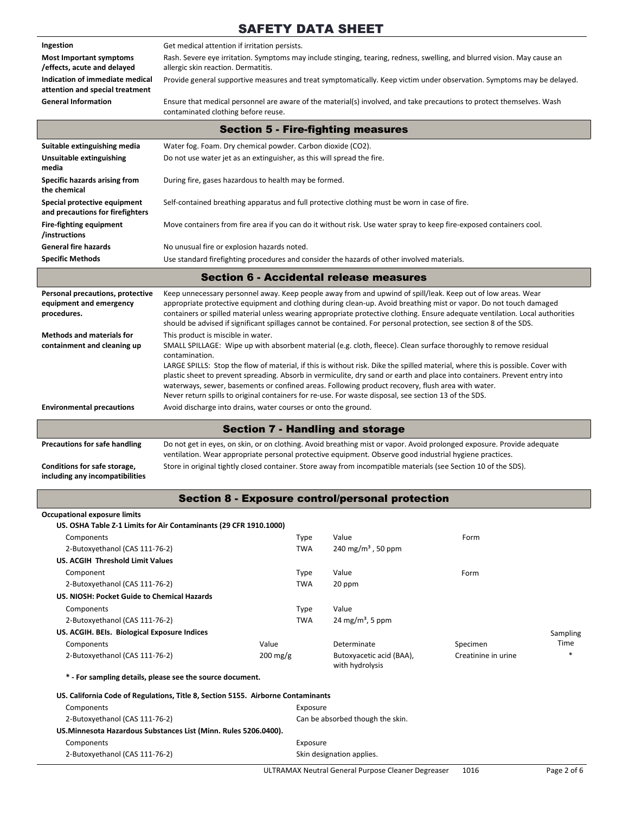| Ingestion                                                          | Get medical attention if irritation persists.                                                                                                                                                                                                                                                                                                                                                                                                                                                                                                   |                    |                                                                                                                                                                                                                                                                                                                                                                           |                     |          |
|--------------------------------------------------------------------|-------------------------------------------------------------------------------------------------------------------------------------------------------------------------------------------------------------------------------------------------------------------------------------------------------------------------------------------------------------------------------------------------------------------------------------------------------------------------------------------------------------------------------------------------|--------------------|---------------------------------------------------------------------------------------------------------------------------------------------------------------------------------------------------------------------------------------------------------------------------------------------------------------------------------------------------------------------------|---------------------|----------|
| <b>Most Important symptoms</b>                                     |                                                                                                                                                                                                                                                                                                                                                                                                                                                                                                                                                 |                    | Rash. Severe eye irritation. Symptoms may include stinging, tearing, redness, swelling, and blurred vision. May cause an                                                                                                                                                                                                                                                  |                     |          |
| effects, acute and delayed/                                        | allergic skin reaction. Dermatitis.                                                                                                                                                                                                                                                                                                                                                                                                                                                                                                             |                    |                                                                                                                                                                                                                                                                                                                                                                           |                     |          |
| Indication of immediate medical<br>attention and special treatment |                                                                                                                                                                                                                                                                                                                                                                                                                                                                                                                                                 |                    | Provide general supportive measures and treat symptomatically. Keep victim under observation. Symptoms may be delayed.                                                                                                                                                                                                                                                    |                     |          |
| <b>General Information</b>                                         | contaminated clothing before reuse.                                                                                                                                                                                                                                                                                                                                                                                                                                                                                                             |                    | Ensure that medical personnel are aware of the material(s) involved, and take precautions to protect themselves. Wash                                                                                                                                                                                                                                                     |                     |          |
|                                                                    |                                                                                                                                                                                                                                                                                                                                                                                                                                                                                                                                                 |                    | <b>Section 5 - Fire-fighting measures</b>                                                                                                                                                                                                                                                                                                                                 |                     |          |
| Suitable extinguishing media                                       | Water fog. Foam. Dry chemical powder. Carbon dioxide (CO2).                                                                                                                                                                                                                                                                                                                                                                                                                                                                                     |                    |                                                                                                                                                                                                                                                                                                                                                                           |                     |          |
| Unsuitable extinguishing<br>media                                  | Do not use water jet as an extinguisher, as this will spread the fire.                                                                                                                                                                                                                                                                                                                                                                                                                                                                          |                    |                                                                                                                                                                                                                                                                                                                                                                           |                     |          |
| <b>Specific hazards arising from</b><br>the chemical               | During fire, gases hazardous to health may be formed.                                                                                                                                                                                                                                                                                                                                                                                                                                                                                           |                    |                                                                                                                                                                                                                                                                                                                                                                           |                     |          |
| Special protective equipment<br>and precautions for firefighters   |                                                                                                                                                                                                                                                                                                                                                                                                                                                                                                                                                 |                    | Self-contained breathing apparatus and full protective clothing must be worn in case of fire.                                                                                                                                                                                                                                                                             |                     |          |
| Fire-fighting equipment<br>/instructions                           |                                                                                                                                                                                                                                                                                                                                                                                                                                                                                                                                                 |                    | Move containers from fire area if you can do it without risk. Use water spray to keep fire-exposed containers cool.                                                                                                                                                                                                                                                       |                     |          |
| <b>General fire hazards</b>                                        | No unusual fire or explosion hazards noted.                                                                                                                                                                                                                                                                                                                                                                                                                                                                                                     |                    |                                                                                                                                                                                                                                                                                                                                                                           |                     |          |
| <b>Specific Methods</b>                                            |                                                                                                                                                                                                                                                                                                                                                                                                                                                                                                                                                 |                    | Use standard firefighting procedures and consider the hazards of other involved materials.                                                                                                                                                                                                                                                                                |                     |          |
|                                                                    |                                                                                                                                                                                                                                                                                                                                                                                                                                                                                                                                                 |                    | <b>Section 6 - Accidental release measures</b>                                                                                                                                                                                                                                                                                                                            |                     |          |
| Personal precautions, protective                                   |                                                                                                                                                                                                                                                                                                                                                                                                                                                                                                                                                 |                    | Keep unnecessary personnel away. Keep people away from and upwind of spill/leak. Keep out of low areas. Wear                                                                                                                                                                                                                                                              |                     |          |
| equipment and emergency<br>procedures.                             |                                                                                                                                                                                                                                                                                                                                                                                                                                                                                                                                                 |                    | appropriate protective equipment and clothing during clean-up. Avoid breathing mist or vapor. Do not touch damaged<br>containers or spilled material unless wearing appropriate protective clothing. Ensure adequate ventilation. Local authorities<br>should be advised if significant spillages cannot be contained. For personal protection, see section 8 of the SDS. |                     |          |
| <b>Methods and materials for</b><br>containment and cleaning up    | This product is miscible in water.<br>SMALL SPILLAGE: Wipe up with absorbent material (e.g. cloth, fleece). Clean surface thoroughly to remove residual<br>contamination.<br>LARGE SPILLS: Stop the flow of material, if this is without risk. Dike the spilled material, where this is possible. Cover with<br>plastic sheet to prevent spreading. Absorb in vermiculite, dry sand or earth and place into containers. Prevent entry into<br>waterways, sewer, basements or confined areas. Following product recovery, flush area with water. |                    |                                                                                                                                                                                                                                                                                                                                                                           |                     |          |
|                                                                    |                                                                                                                                                                                                                                                                                                                                                                                                                                                                                                                                                 |                    | Never return spills to original containers for re-use. For waste disposal, see section 13 of the SDS.                                                                                                                                                                                                                                                                     |                     |          |
| <b>Environmental precautions</b>                                   | Avoid discharge into drains, water courses or onto the ground.                                                                                                                                                                                                                                                                                                                                                                                                                                                                                  |                    |                                                                                                                                                                                                                                                                                                                                                                           |                     |          |
|                                                                    |                                                                                                                                                                                                                                                                                                                                                                                                                                                                                                                                                 |                    | <b>Section 7 - Handling and storage</b>                                                                                                                                                                                                                                                                                                                                   |                     |          |
| <b>Precautions for safe handling</b>                               |                                                                                                                                                                                                                                                                                                                                                                                                                                                                                                                                                 |                    | Do not get in eyes, on skin, or on clothing. Avoid breathing mist or vapor. Avoid prolonged exposure. Provide adequate                                                                                                                                                                                                                                                    |                     |          |
| Conditions for safe storage,<br>including any incompatibilities    |                                                                                                                                                                                                                                                                                                                                                                                                                                                                                                                                                 |                    | ventilation. Wear appropriate personal protective equipment. Observe good industrial hygiene practices.<br>Store in original tightly closed container. Store away from incompatible materials (see Section 10 of the SDS).                                                                                                                                                |                     |          |
|                                                                    |                                                                                                                                                                                                                                                                                                                                                                                                                                                                                                                                                 |                    | <b>Section 8 - Exposure control/personal protection</b>                                                                                                                                                                                                                                                                                                                   |                     |          |
| <b>Occupational exposure limits</b>                                |                                                                                                                                                                                                                                                                                                                                                                                                                                                                                                                                                 |                    |                                                                                                                                                                                                                                                                                                                                                                           |                     |          |
|                                                                    | US. OSHA Table Z-1 Limits for Air Contaminants (29 CFR 1910.1000)                                                                                                                                                                                                                                                                                                                                                                                                                                                                               |                    |                                                                                                                                                                                                                                                                                                                                                                           |                     |          |
| Components                                                         |                                                                                                                                                                                                                                                                                                                                                                                                                                                                                                                                                 | Type               | Value                                                                                                                                                                                                                                                                                                                                                                     | Form                |          |
| 2-Butoxyethanol (CAS 111-76-2)                                     |                                                                                                                                                                                                                                                                                                                                                                                                                                                                                                                                                 | <b>TWA</b>         | 240 mg/m <sup>3</sup> , 50 ppm                                                                                                                                                                                                                                                                                                                                            |                     |          |
| US. ACGIH Threshold Limit Values                                   |                                                                                                                                                                                                                                                                                                                                                                                                                                                                                                                                                 |                    |                                                                                                                                                                                                                                                                                                                                                                           |                     |          |
| Component                                                          |                                                                                                                                                                                                                                                                                                                                                                                                                                                                                                                                                 | <b>Type</b>        | Value                                                                                                                                                                                                                                                                                                                                                                     | Form                |          |
| 2-Butoxyethanol (CAS 111-76-2)                                     |                                                                                                                                                                                                                                                                                                                                                                                                                                                                                                                                                 | <b>TWA</b>         | 20 ppm                                                                                                                                                                                                                                                                                                                                                                    |                     |          |
| US. NIOSH: Pocket Guide to Chemical Hazards                        |                                                                                                                                                                                                                                                                                                                                                                                                                                                                                                                                                 |                    |                                                                                                                                                                                                                                                                                                                                                                           |                     |          |
| Components                                                         |                                                                                                                                                                                                                                                                                                                                                                                                                                                                                                                                                 | Type               | Value                                                                                                                                                                                                                                                                                                                                                                     |                     |          |
| 2-Butoxyethanol (CAS 111-76-2)                                     |                                                                                                                                                                                                                                                                                                                                                                                                                                                                                                                                                 | <b>TWA</b>         | 24 mg/m <sup>3</sup> , 5 ppm                                                                                                                                                                                                                                                                                                                                              |                     |          |
| US. ACGIH. BEIs. Biological Exposure Indices                       |                                                                                                                                                                                                                                                                                                                                                                                                                                                                                                                                                 |                    |                                                                                                                                                                                                                                                                                                                                                                           |                     | Sampling |
| Components                                                         |                                                                                                                                                                                                                                                                                                                                                                                                                                                                                                                                                 | Value              | Determinate                                                                                                                                                                                                                                                                                                                                                               | Specimen            | Time     |
| 2-Butoxyethanol (CAS 111-76-2)                                     |                                                                                                                                                                                                                                                                                                                                                                                                                                                                                                                                                 | $200 \text{ mg/g}$ | Butoxyacetic acid (BAA),<br>with hydrolysis                                                                                                                                                                                                                                                                                                                               | Creatinine in urine |          |
|                                                                    | * - For sampling details, please see the source document.                                                                                                                                                                                                                                                                                                                                                                                                                                                                                       |                    |                                                                                                                                                                                                                                                                                                                                                                           |                     |          |
| Components                                                         | US. California Code of Regulations, Title 8, Section 5155. Airborne Contaminants                                                                                                                                                                                                                                                                                                                                                                                                                                                                | Exposure           |                                                                                                                                                                                                                                                                                                                                                                           |                     |          |
| 2-Butoxyethanol (CAS 111-76-2)                                     |                                                                                                                                                                                                                                                                                                                                                                                                                                                                                                                                                 |                    | Can be absorbed though the skin.                                                                                                                                                                                                                                                                                                                                          |                     |          |
| US.Minnesota Hazardous Substances List (Minn. Rules 5206.0400).    |                                                                                                                                                                                                                                                                                                                                                                                                                                                                                                                                                 |                    |                                                                                                                                                                                                                                                                                                                                                                           |                     |          |
|                                                                    |                                                                                                                                                                                                                                                                                                                                                                                                                                                                                                                                                 |                    |                                                                                                                                                                                                                                                                                                                                                                           |                     |          |
| Components                                                         |                                                                                                                                                                                                                                                                                                                                                                                                                                                                                                                                                 | Exposure           |                                                                                                                                                                                                                                                                                                                                                                           |                     |          |
| 2-Butoxyethanol (CAS 111-76-2)                                     |                                                                                                                                                                                                                                                                                                                                                                                                                                                                                                                                                 |                    | Skin designation applies.                                                                                                                                                                                                                                                                                                                                                 |                     |          |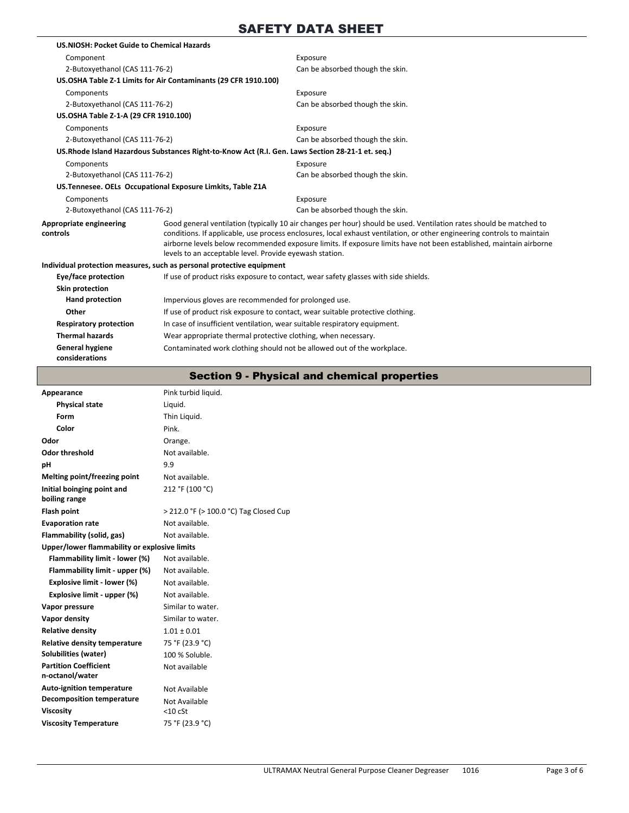| US.NIOSH: Pocket Guide to Chemical Hazards |                                                                                                   |                                                                                                                                                                                                                                                                                                                                                                      |  |
|--------------------------------------------|---------------------------------------------------------------------------------------------------|----------------------------------------------------------------------------------------------------------------------------------------------------------------------------------------------------------------------------------------------------------------------------------------------------------------------------------------------------------------------|--|
| Component                                  |                                                                                                   | Exposure                                                                                                                                                                                                                                                                                                                                                             |  |
| 2-Butoxyethanol (CAS 111-76-2)             |                                                                                                   | Can be absorbed though the skin.                                                                                                                                                                                                                                                                                                                                     |  |
|                                            | US.OSHA Table Z-1 Limits for Air Contaminants (29 CFR 1910.100)                                   |                                                                                                                                                                                                                                                                                                                                                                      |  |
| Components                                 |                                                                                                   | Exposure                                                                                                                                                                                                                                                                                                                                                             |  |
| 2-Butoxyethanol (CAS 111-76-2)             |                                                                                                   | Can be absorbed though the skin.                                                                                                                                                                                                                                                                                                                                     |  |
| US.OSHA Table Z-1-A (29 CFR 1910.100)      |                                                                                                   |                                                                                                                                                                                                                                                                                                                                                                      |  |
| Components                                 |                                                                                                   | Exposure                                                                                                                                                                                                                                                                                                                                                             |  |
| 2-Butoxyethanol (CAS 111-76-2)             |                                                                                                   | Can be absorbed though the skin.                                                                                                                                                                                                                                                                                                                                     |  |
|                                            | US. Rhode Island Hazardous Substances Right-to-Know Act (R.I. Gen. Laws Section 28-21-1 et. seq.) |                                                                                                                                                                                                                                                                                                                                                                      |  |
| Components                                 |                                                                                                   | Exposure                                                                                                                                                                                                                                                                                                                                                             |  |
| 2-Butoxyethanol (CAS 111-76-2)             |                                                                                                   | Can be absorbed though the skin.                                                                                                                                                                                                                                                                                                                                     |  |
|                                            | US. Tennesee. OELs Occupational Exposure Limkits, Table Z1A                                       |                                                                                                                                                                                                                                                                                                                                                                      |  |
| Components                                 |                                                                                                   | Exposure                                                                                                                                                                                                                                                                                                                                                             |  |
| 2-Butoxyethanol (CAS 111-76-2)             |                                                                                                   | Can be absorbed though the skin.                                                                                                                                                                                                                                                                                                                                     |  |
| Appropriate engineering<br>controls        | levels to an acceptable level. Provide eyewash station.                                           | Good general ventilation (typically 10 air changes per hour) should be used. Ventilation rates should be matched to<br>conditions. If applicable, use process enclosures, local exhaust ventilation, or other engineering controls to maintain<br>airborne levels below recommended exposure limits. If exposure limits have not been established, maintain airborne |  |
|                                            | Individual protection measures, such as personal protective equipment                             |                                                                                                                                                                                                                                                                                                                                                                      |  |
| Eye/face protection                        |                                                                                                   | If use of product risks exposure to contact, wear safety glasses with side shields.                                                                                                                                                                                                                                                                                  |  |
| Skin protection                            |                                                                                                   |                                                                                                                                                                                                                                                                                                                                                                      |  |
| <b>Hand protection</b>                     | Impervious gloves are recommended for prolonged use.                                              |                                                                                                                                                                                                                                                                                                                                                                      |  |
| Other                                      | If use of product risk exposure to contact, wear suitable protective clothing.                    |                                                                                                                                                                                                                                                                                                                                                                      |  |
| <b>Respiratory protection</b>              | In case of insufficient ventilation, wear suitable respiratory equipment.                         |                                                                                                                                                                                                                                                                                                                                                                      |  |
| <b>Thermal hazards</b>                     | Wear appropriate thermal protective clothing, when necessary.                                     |                                                                                                                                                                                                                                                                                                                                                                      |  |
| <b>General hygiene</b><br>considerations   | Contaminated work clothing should not be allowed out of the workplace.                            |                                                                                                                                                                                                                                                                                                                                                                      |  |

### Section 9 - Physical and chemical properties

| Appearance                                      | Pink turbid liquid.                    |
|-------------------------------------------------|----------------------------------------|
| <b>Physical state</b>                           | Liquid.                                |
| Form                                            | Thin Liquid.                           |
| Color                                           | Pink.                                  |
| Odor                                            | Orange.                                |
| <b>Odor threshold</b>                           | Not available.                         |
| pH                                              | 9.9                                    |
| Melting point/freezing point                    | Not available.                         |
| Initial boinging point and<br>boiling range     | 212 °F (100 °C)                        |
| Flash point                                     | > 212.0 °F (> 100.0 °C) Tag Closed Cup |
| <b>Evaporation rate</b>                         | Not available.                         |
| Flammability (solid, gas)                       | Not available.                         |
| Upper/lower flammability or explosive limits    |                                        |
| Flammability limit - lower (%)                  | Not available.                         |
| Flammability limit - upper (%)                  | Not available.                         |
| Explosive limit - lower (%)                     | Not available.                         |
| Explosive limit - upper (%)                     | Not available.                         |
| Vapor pressure                                  | Similar to water.                      |
| Vapor density                                   | Similar to water.                      |
| <b>Relative density</b>                         | $1.01 \pm 0.01$                        |
| <b>Relative density temperature</b>             | 75 °F (23.9 °C)                        |
| <b>Solubilities (water)</b>                     | 100 % Soluble.                         |
| <b>Partition Coefficient</b><br>n-octanol/water | Not available                          |
| <b>Auto-ignition temperature</b>                | Not Available                          |
| <b>Decomposition temperature</b>                | Not Available                          |
| <b>Viscosity</b>                                | $<$ 10 cSt                             |
| <b>Viscosity Temperature</b>                    | 75 °F (23.9 °C)                        |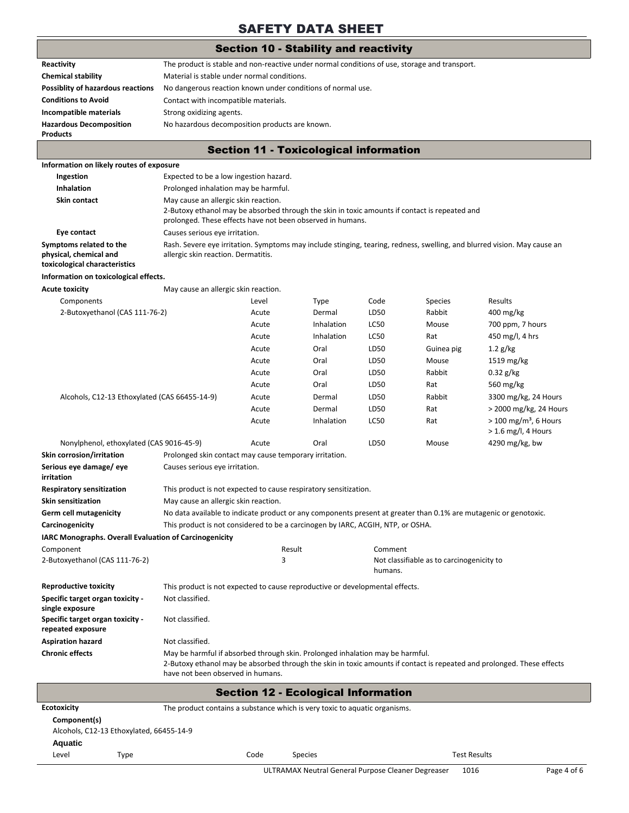#### Section 10 - Stability and reactivity

|                                                                                           |                                                                                                                    |                                                                                                                                                                                                     | Section To - Stability and reactivity         |             |                                           |                                                                                                                          |  |  |
|-------------------------------------------------------------------------------------------|--------------------------------------------------------------------------------------------------------------------|-----------------------------------------------------------------------------------------------------------------------------------------------------------------------------------------------------|-----------------------------------------------|-------------|-------------------------------------------|--------------------------------------------------------------------------------------------------------------------------|--|--|
| Reactivity                                                                                | The product is stable and non-reactive under normal conditions of use, storage and transport.                      |                                                                                                                                                                                                     |                                               |             |                                           |                                                                                                                          |  |  |
| <b>Chemical stability</b>                                                                 | Material is stable under normal conditions.                                                                        |                                                                                                                                                                                                     |                                               |             |                                           |                                                                                                                          |  |  |
| <b>Possiblity of hazardous reactions</b>                                                  | No dangerous reaction known under conditions of normal use.                                                        |                                                                                                                                                                                                     |                                               |             |                                           |                                                                                                                          |  |  |
| <b>Conditions to Avoid</b>                                                                | Contact with incompatible materials.                                                                               |                                                                                                                                                                                                     |                                               |             |                                           |                                                                                                                          |  |  |
| Incompatible materials                                                                    |                                                                                                                    | Strong oxidizing agents.                                                                                                                                                                            |                                               |             |                                           |                                                                                                                          |  |  |
| <b>Hazardous Decomposition</b>                                                            | No hazardous decomposition products are known.                                                                     |                                                                                                                                                                                                     |                                               |             |                                           |                                                                                                                          |  |  |
| <b>Products</b>                                                                           |                                                                                                                    |                                                                                                                                                                                                     |                                               |             |                                           |                                                                                                                          |  |  |
|                                                                                           |                                                                                                                    |                                                                                                                                                                                                     | <b>Section 11 - Toxicological information</b> |             |                                           |                                                                                                                          |  |  |
| Information on likely routes of exposure                                                  |                                                                                                                    |                                                                                                                                                                                                     |                                               |             |                                           |                                                                                                                          |  |  |
| Ingestion                                                                                 | Expected to be a low ingestion hazard.                                                                             |                                                                                                                                                                                                     |                                               |             |                                           |                                                                                                                          |  |  |
| <b>Inhalation</b>                                                                         | Prolonged inhalation may be harmful.                                                                               |                                                                                                                                                                                                     |                                               |             |                                           |                                                                                                                          |  |  |
| Skin contact                                                                              |                                                                                                                    | May cause an allergic skin reaction.<br>2-Butoxy ethanol may be absorbed through the skin in toxic amounts if contact is repeated and<br>prolonged. These effects have not been observed in humans. |                                               |             |                                           |                                                                                                                          |  |  |
| Eye contact                                                                               | Causes serious eye irritation.                                                                                     |                                                                                                                                                                                                     |                                               |             |                                           |                                                                                                                          |  |  |
| Symptoms related to the<br>physical, chemical and<br>toxicological characteristics        | allergic skin reaction. Dermatitis.                                                                                |                                                                                                                                                                                                     |                                               |             |                                           | Rash. Severe eye irritation. Symptoms may include stinging, tearing, redness, swelling, and blurred vision. May cause an |  |  |
| Information on toxicological effects.                                                     |                                                                                                                    |                                                                                                                                                                                                     |                                               |             |                                           |                                                                                                                          |  |  |
| <b>Acute toxicity</b>                                                                     | May cause an allergic skin reaction.                                                                               |                                                                                                                                                                                                     |                                               |             |                                           |                                                                                                                          |  |  |
| Components                                                                                |                                                                                                                    | Level                                                                                                                                                                                               | <b>Type</b>                                   | Code        | <b>Species</b>                            | Results                                                                                                                  |  |  |
| 2-Butoxyethanol (CAS 111-76-2)                                                            |                                                                                                                    | Acute                                                                                                                                                                                               | Dermal                                        | LD50        | Rabbit                                    | $400 \,\mathrm{mg/kg}$                                                                                                   |  |  |
|                                                                                           |                                                                                                                    | Acute                                                                                                                                                                                               | Inhalation                                    | <b>LC50</b> | Mouse                                     | 700 ppm, 7 hours                                                                                                         |  |  |
|                                                                                           |                                                                                                                    | Acute                                                                                                                                                                                               | Inhalation                                    | <b>LC50</b> | Rat                                       | 450 mg/l, 4 hrs                                                                                                          |  |  |
|                                                                                           |                                                                                                                    | Acute                                                                                                                                                                                               | Oral                                          | LD50        | Guinea pig                                | $1.2$ g/kg                                                                                                               |  |  |
|                                                                                           |                                                                                                                    | Acute                                                                                                                                                                                               | Oral                                          | LD50        | Mouse                                     | $1519 \,\mathrm{mg/kg}$                                                                                                  |  |  |
|                                                                                           |                                                                                                                    | Acute                                                                                                                                                                                               | Oral                                          | LD50        | Rabbit                                    | $0.32$ g/kg                                                                                                              |  |  |
|                                                                                           |                                                                                                                    | Acute                                                                                                                                                                                               | Oral                                          | LD50        | Rat                                       | 560 mg/kg                                                                                                                |  |  |
| Alcohols, C12-13 Ethoxylated (CAS 66455-14-9)                                             |                                                                                                                    | Acute                                                                                                                                                                                               | Dermal                                        | LD50        | Rabbit                                    | 3300 mg/kg, 24 Hours                                                                                                     |  |  |
|                                                                                           |                                                                                                                    | Acute                                                                                                                                                                                               | Dermal                                        | LD50        | Rat                                       | > 2000 mg/kg, 24 Hours                                                                                                   |  |  |
|                                                                                           |                                                                                                                    | Acute                                                                                                                                                                                               | Inhalation                                    | <b>LC50</b> | Rat                                       | $>$ 100 mg/m <sup>3</sup> , 6 Hours<br>$>$ 1.6 mg/l, 4 Hours                                                             |  |  |
| Nonylphenol, ethoxylated (CAS 9016-45-9)                                                  |                                                                                                                    | Acute                                                                                                                                                                                               | Oral                                          | LD50        | Mouse                                     | 4290 mg/kg, bw                                                                                                           |  |  |
| Skin corrosion/irritation                                                                 | Prolonged skin contact may cause temporary irritation.                                                             |                                                                                                                                                                                                     |                                               |             |                                           |                                                                                                                          |  |  |
| Serious eye damage/eye<br>irritation                                                      | Causes serious eye irritation.                                                                                     |                                                                                                                                                                                                     |                                               |             |                                           |                                                                                                                          |  |  |
| <b>Respiratory sensitization</b>                                                          | This product is not expected to cause respiratory sensitization.                                                   |                                                                                                                                                                                                     |                                               |             |                                           |                                                                                                                          |  |  |
| <b>Skin sensitization</b>                                                                 | May cause an allergic skin reaction.                                                                               |                                                                                                                                                                                                     |                                               |             |                                           |                                                                                                                          |  |  |
| <b>Germ cell mutagenicity</b>                                                             | No data available to indicate product or any components present at greater than 0.1% are mutagenic or genotoxic.   |                                                                                                                                                                                                     |                                               |             |                                           |                                                                                                                          |  |  |
| Carcinogenicity                                                                           | This product is not considered to be a carcinogen by IARC, ACGIH, NTP, or OSHA.                                    |                                                                                                                                                                                                     |                                               |             |                                           |                                                                                                                          |  |  |
| IARC Monographs. Overall Evaluation of Carcinogenicity                                    |                                                                                                                    |                                                                                                                                                                                                     |                                               |             |                                           |                                                                                                                          |  |  |
| Component                                                                                 |                                                                                                                    | Result                                                                                                                                                                                              |                                               | Comment     |                                           |                                                                                                                          |  |  |
| 2-Butoxyethanol (CAS 111-76-2)                                                            |                                                                                                                    | 3                                                                                                                                                                                                   |                                               | humans.     | Not classifiable as to carcinogenicity to |                                                                                                                          |  |  |
| <b>Reproductive toxicity</b>                                                              | This product is not expected to cause reproductive or developmental effects.                                       |                                                                                                                                                                                                     |                                               |             |                                           |                                                                                                                          |  |  |
| Specific target organ toxicity -<br>single exposure                                       | Not classified.                                                                                                    |                                                                                                                                                                                                     |                                               |             |                                           |                                                                                                                          |  |  |
| Specific target organ toxicity -<br>repeated exposure                                     | Not classified.                                                                                                    |                                                                                                                                                                                                     |                                               |             |                                           |                                                                                                                          |  |  |
| <b>Aspiration hazard</b>                                                                  | Not classified.                                                                                                    |                                                                                                                                                                                                     |                                               |             |                                           |                                                                                                                          |  |  |
| <b>Chronic effects</b>                                                                    | May be harmful if absorbed through skin. Prolonged inhalation may be harmful.<br>have not been observed in humans. |                                                                                                                                                                                                     |                                               |             |                                           | 2-Butoxy ethanol may be absorbed through the skin in toxic amounts if contact is repeated and prolonged. These effects   |  |  |
|                                                                                           |                                                                                                                    |                                                                                                                                                                                                     | <b>Section 12 - Ecological Information</b>    |             |                                           |                                                                                                                          |  |  |
| <b>Ecotoxicity</b><br>Component(s)<br>Alcohols, C12-13 Ethoxylated, 66455-14-9<br>Acuntic | The product contains a substance which is very toxic to aquatic organisms.                                         |                                                                                                                                                                                                     |                                               |             |                                           |                                                                                                                          |  |  |

**Aquatic**

Level Type Code Species Test Results

ULTRAMAX Neutral General Purpose Cleaner Degreaser 1016 Page 4 of 6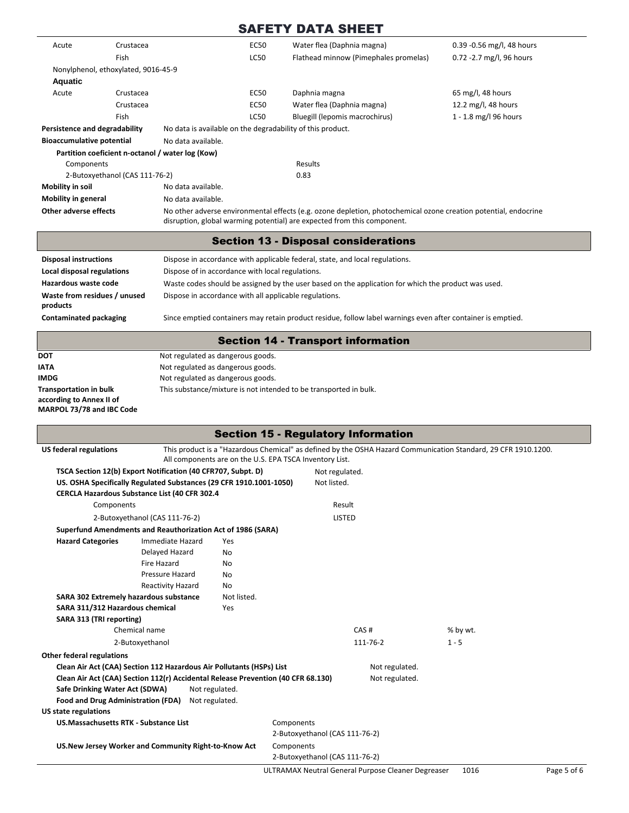| Acute                                                     | Crustacea                           |                                                        | <b>EC50</b> | Water flea (Daphnia magna)                                                                                                                                                                 | 0.39 -0.56 mg/l, 48 hours |
|-----------------------------------------------------------|-------------------------------------|--------------------------------------------------------|-------------|--------------------------------------------------------------------------------------------------------------------------------------------------------------------------------------------|---------------------------|
|                                                           | Fish                                |                                                        | <b>LC50</b> | Flathead minnow (Pimephales promelas)                                                                                                                                                      | 0.72 - 2.7 mg/l, 96 hours |
|                                                           | Nonylphenol, ethoxylated, 9016-45-9 |                                                        |             |                                                                                                                                                                                            |                           |
| Aquatic                                                   |                                     |                                                        |             |                                                                                                                                                                                            |                           |
| Acute                                                     | Crustacea                           |                                                        | <b>EC50</b> | Daphnia magna                                                                                                                                                                              | 65 mg/l, 48 hours         |
|                                                           | Crustacea                           |                                                        | <b>EC50</b> | Water flea (Daphnia magna)                                                                                                                                                                 | 12.2 mg/l, 48 hours       |
|                                                           | Fish                                |                                                        | <b>LC50</b> | Bluegill (lepomis macrochirus)                                                                                                                                                             | 1 - 1.8 mg/l 96 hours     |
| Persistence and degradability                             |                                     |                                                        |             | No data is available on the degradability of this product.                                                                                                                                 |                           |
| <b>Bioaccumulative potential</b>                          |                                     | No data available.                                     |             |                                                                                                                                                                                            |                           |
|                                                           |                                     | Partition coeficient n-octanol / water log (Kow)       |             |                                                                                                                                                                                            |                           |
| Components                                                |                                     |                                                        |             | Results                                                                                                                                                                                    |                           |
|                                                           | 2-Butoxyethanol (CAS 111-76-2)      |                                                        |             | 0.83                                                                                                                                                                                       |                           |
| Mobility in soil                                          |                                     | No data available.                                     |             |                                                                                                                                                                                            |                           |
| <b>Mobility in general</b>                                |                                     | No data available.                                     |             |                                                                                                                                                                                            |                           |
| <b>Other adverse effects</b>                              |                                     |                                                        |             | No other adverse environmental effects (e.g. ozone depletion, photochemical ozone creation potential, endocrine<br>disruption, global warming potential) are expected from this component. |                           |
|                                                           |                                     |                                                        |             | <b>Section 13 - Disposal considerations</b>                                                                                                                                                |                           |
| <b>Disposal instructions</b>                              |                                     |                                                        |             | Dispose in accordance with applicable federal, state, and local regulations.                                                                                                               |                           |
| Local disposal regulations                                |                                     | Dispose of in accordance with local regulations.       |             |                                                                                                                                                                                            |                           |
| Hazardous waste code                                      |                                     |                                                        |             |                                                                                                                                                                                            |                           |
| Waste from residues / unused                              |                                     |                                                        |             | Waste codes should be assigned by the user based on the application for which the product was used.                                                                                        |                           |
| products                                                  |                                     | Dispose in accordance with all applicable regulations. |             |                                                                                                                                                                                            |                           |
| <b>Contaminated packaging</b>                             |                                     |                                                        |             | Since emptied containers may retain product residue, follow label warnings even after container is emptied.                                                                                |                           |
|                                                           |                                     |                                                        |             | <b>Section 14 - Transport information</b>                                                                                                                                                  |                           |
| DOT                                                       |                                     | Not regulated as dangerous goods.                      |             |                                                                                                                                                                                            |                           |
| ΙΑΤΑ                                                      |                                     | Not regulated as dangerous goods.                      |             |                                                                                                                                                                                            |                           |
| IMDG                                                      |                                     | Not regulated as dangerous goods.                      |             |                                                                                                                                                                                            |                           |
| <b>Transportation in bulk</b><br>according to Annex II of |                                     |                                                        |             | This substance/mixture is not intended to be transported in bulk.                                                                                                                          |                           |

**MARPOL 73/78 and IBC Code**

|                                              |                                                                                  |                                                         |            | <b>Section 15 - Regulatory Information</b>         |                |                                                                                                                |             |
|----------------------------------------------|----------------------------------------------------------------------------------|---------------------------------------------------------|------------|----------------------------------------------------|----------------|----------------------------------------------------------------------------------------------------------------|-------------|
| <b>US federal regulations</b>                |                                                                                  | All components are on the U.S. EPA TSCA Inventory List. |            |                                                    |                | This product is a "Hazardous Chemical" as defined by the OSHA Hazard Communication Standard, 29 CFR 1910.1200. |             |
|                                              | TSCA Section 12(b) Export Notification (40 CFR707, Subpt. D)                     |                                                         |            | Not regulated.                                     |                |                                                                                                                |             |
|                                              | US. OSHA Specifically Regulated Substances (29 CFR 1910.1001-1050)               |                                                         |            | Not listed.                                        |                |                                                                                                                |             |
|                                              | CERCLA Hazardous Substance List (40 CFR 302.4                                    |                                                         |            |                                                    |                |                                                                                                                |             |
| Components                                   |                                                                                  |                                                         |            | Result                                             |                |                                                                                                                |             |
|                                              | 2-Butoxyethanol (CAS 111-76-2)                                                   |                                                         |            | <b>LISTED</b>                                      |                |                                                                                                                |             |
|                                              | Superfund Amendments and Reauthorization Act of 1986 (SARA)                      |                                                         |            |                                                    |                |                                                                                                                |             |
| <b>Hazard Categories</b>                     | Immediate Hazard                                                                 | Yes                                                     |            |                                                    |                |                                                                                                                |             |
|                                              | Delayed Hazard                                                                   | <b>No</b>                                               |            |                                                    |                |                                                                                                                |             |
|                                              | <b>Fire Hazard</b>                                                               | <b>No</b>                                               |            |                                                    |                |                                                                                                                |             |
|                                              | Pressure Hazard                                                                  | No                                                      |            |                                                    |                |                                                                                                                |             |
|                                              | Reactivity Hazard                                                                | No                                                      |            |                                                    |                |                                                                                                                |             |
| SARA 302 Extremely hazardous substance       |                                                                                  | Not listed.                                             |            |                                                    |                |                                                                                                                |             |
| SARA 311/312 Hazardous chemical              |                                                                                  | Yes                                                     |            |                                                    |                |                                                                                                                |             |
| SARA 313 (TRI reporting)                     |                                                                                  |                                                         |            |                                                    |                |                                                                                                                |             |
| Chemical name                                |                                                                                  |                                                         |            | CAS#                                               |                | % by wt.                                                                                                       |             |
| 2-Butoxyethanol                              |                                                                                  |                                                         |            | 111-76-2                                           |                | $1 - 5$                                                                                                        |             |
| <b>Other federal regulations</b>             |                                                                                  |                                                         |            |                                                    |                |                                                                                                                |             |
|                                              | Clean Air Act (CAA) Section 112 Hazardous Air Pollutants (HSPs) List             |                                                         |            |                                                    | Not regulated. |                                                                                                                |             |
|                                              | Clean Air Act (CAA) Section 112(r) Accidental Release Prevention (40 CFR 68.130) |                                                         |            |                                                    | Not regulated. |                                                                                                                |             |
| Safe Drinking Water Act (SDWA)               |                                                                                  | Not regulated.                                          |            |                                                    |                |                                                                                                                |             |
| Food and Drug Administration (FDA)           | Not regulated.                                                                   |                                                         |            |                                                    |                |                                                                                                                |             |
| <b>US state regulations</b>                  |                                                                                  |                                                         |            |                                                    |                |                                                                                                                |             |
| <b>US.Massachusetts RTK - Substance List</b> |                                                                                  |                                                         | Components |                                                    |                |                                                                                                                |             |
|                                              |                                                                                  |                                                         |            | 2-Butoxyethanol (CAS 111-76-2)                     |                |                                                                                                                |             |
|                                              | US.New Jersey Worker and Community Right-to-Know Act                             |                                                         | Components |                                                    |                |                                                                                                                |             |
|                                              |                                                                                  |                                                         |            | 2-Butoxyethanol (CAS 111-76-2)                     |                |                                                                                                                |             |
|                                              |                                                                                  |                                                         |            | ULTRAMAX Neutral General Purpose Cleaner Degreaser |                | 1016                                                                                                           | Page 5 of 6 |